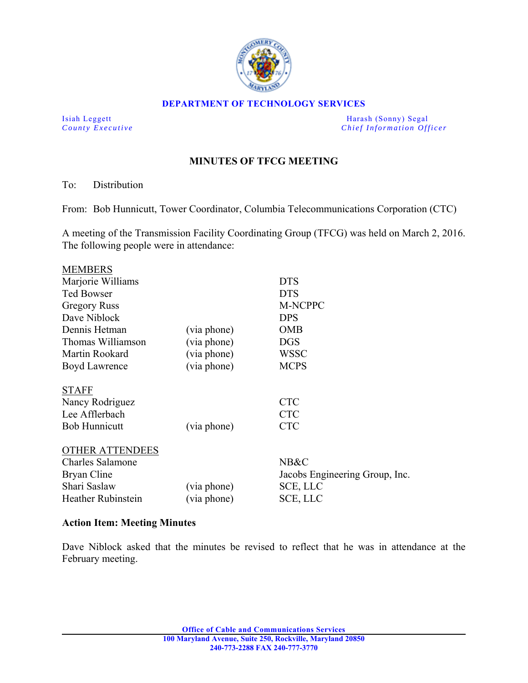

#### **DEPARTMENT OF TECHNOLOGY SERVICES**

Isiah Leggett Harash (Sonny) Segal *County Executive* **County**  $\overline{C}$  *Chief Information Officer* 

# **MINUTES OF TFCG MEETING**

#### To: Distribution

From: Bob Hunnicutt, Tower Coordinator, Columbia Telecommunications Corporation (CTC)

A meeting of the Transmission Facility Coordinating Group (TFCG) was held on March 2, 2016. The following people were in attendance:

| <b>MEMBERS</b>            |             |                                |
|---------------------------|-------------|--------------------------------|
| Marjorie Williams         |             | <b>DTS</b>                     |
| <b>Ted Bowser</b>         |             | <b>DTS</b>                     |
| <b>Gregory Russ</b>       |             | M-NCPPC                        |
| Dave Niblock              |             | <b>DPS</b>                     |
| Dennis Hetman             | (via phone) | <b>OMB</b>                     |
| Thomas Williamson         | (via phone) | <b>DGS</b>                     |
| Martin Rookard            | (via phone) | <b>WSSC</b>                    |
| Boyd Lawrence             | (via phone) | <b>MCPS</b>                    |
| <b>STAFF</b>              |             |                                |
| Nancy Rodriguez           |             | <b>CTC</b>                     |
| Lee Afflerbach            |             | <b>CTC</b>                     |
| <b>Bob Hunnicutt</b>      | (via phone) | <b>CTC</b>                     |
| <b>OTHER ATTENDEES</b>    |             |                                |
| <b>Charles Salamone</b>   |             | NB&C                           |
| Bryan Cline               |             | Jacobs Engineering Group, Inc. |
| Shari Saslaw              | (via phone) | SCE, LLC                       |
| <b>Heather Rubinstein</b> | (via phone) | SCE, LLC                       |
|                           |             |                                |

### **Action Item: Meeting Minutes**

Dave Niblock asked that the minutes be revised to reflect that he was in attendance at the February meeting.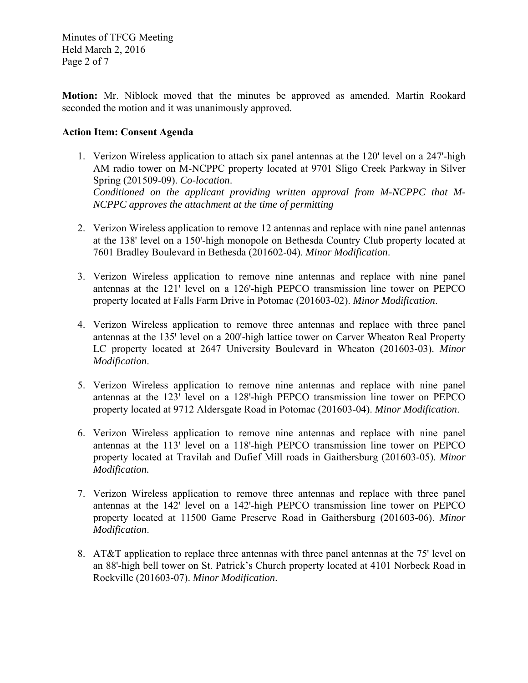Minutes of TFCG Meeting Held March 2, 2016 Page 2 of 7

**Motion:** Mr. Niblock moved that the minutes be approved as amended. Martin Rookard seconded the motion and it was unanimously approved.

### **Action Item: Consent Agenda**

- 1. Verizon Wireless application to attach six panel antennas at the 120' level on a 247'-high AM radio tower on M-NCPPC property located at 9701 Sligo Creek Parkway in Silver Spring (201509-09). *Co-location*. *Conditioned on the applicant providing written approval from M-NCPPC that M-NCPPC approves the attachment at the time of permitting*
- 2. Verizon Wireless application to remove 12 antennas and replace with nine panel antennas at the 138' level on a 150'-high monopole on Bethesda Country Club property located at 7601 Bradley Boulevard in Bethesda (201602-04). *Minor Modification*.
- 3. Verizon Wireless application to remove nine antennas and replace with nine panel antennas at the 121' level on a 126'-high PEPCO transmission line tower on PEPCO property located at Falls Farm Drive in Potomac (201603-02). *Minor Modification*.
- 4. Verizon Wireless application to remove three antennas and replace with three panel antennas at the 135' level on a 200'-high lattice tower on Carver Wheaton Real Property LC property located at 2647 University Boulevard in Wheaton (201603-03). *Minor Modification*.
- 5. Verizon Wireless application to remove nine antennas and replace with nine panel antennas at the 123' level on a 128'-high PEPCO transmission line tower on PEPCO property located at 9712 Aldersgate Road in Potomac (201603-04). *Minor Modification*.
- 6. Verizon Wireless application to remove nine antennas and replace with nine panel antennas at the 113' level on a 118'-high PEPCO transmission line tower on PEPCO property located at Travilah and Dufief Mill roads in Gaithersburg (201603-05). *Minor Modification.*
- 7. Verizon Wireless application to remove three antennas and replace with three panel antennas at the 142<sup>'</sup> level on a 142<sup>'</sup>-high PEPCO transmission line tower on PEPCO property located at 11500 Game Preserve Road in Gaithersburg (201603-06). *Minor Modification*.
- 8. AT&T application to replace three antennas with three panel antennas at the 75' level on an 88'-high bell tower on St. Patrick's Church property located at 4101 Norbeck Road in Rockville (201603-07). *Minor Modification*.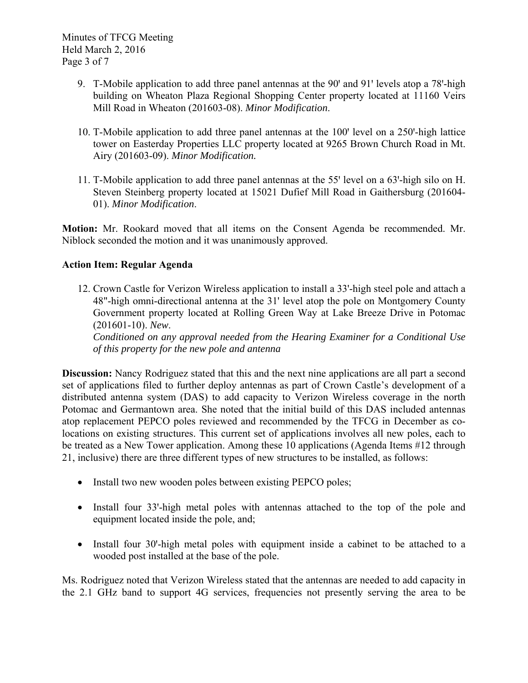Minutes of TFCG Meeting Held March 2, 2016 Page 3 of 7

- 9. T-Mobile application to add three panel antennas at the 90' and 91' levels atop a 78'-high building on Wheaton Plaza Regional Shopping Center property located at 11160 Veirs Mill Road in Wheaton (201603-08). *Minor Modification*.
- 10. T-Mobile application to add three panel antennas at the 100' level on a 250'-high lattice tower on Easterday Properties LLC property located at 9265 Brown Church Road in Mt. Airy (201603-09). *Minor Modification.*
- 11. T-Mobile application to add three panel antennas at the 55' level on a 63'-high silo on H. Steven Steinberg property located at 15021 Dufief Mill Road in Gaithersburg (201604- 01). *Minor Modification*.

**Motion:** Mr. Rookard moved that all items on the Consent Agenda be recommended. Mr. Niblock seconded the motion and it was unanimously approved.

## **Action Item: Regular Agenda**

12. Crown Castle for Verizon Wireless application to install a 33'-high steel pole and attach a 48"-high omni-directional antenna at the 31' level atop the pole on Montgomery County Government property located at Rolling Green Way at Lake Breeze Drive in Potomac (201601-10). *New*.

*Conditioned on any approval needed from the Hearing Examiner for a Conditional Use of this property for the new pole and antenna* 

**Discussion:** Nancy Rodriguez stated that this and the next nine applications are all part a second set of applications filed to further deploy antennas as part of Crown Castle's development of a distributed antenna system (DAS) to add capacity to Verizon Wireless coverage in the north Potomac and Germantown area. She noted that the initial build of this DAS included antennas atop replacement PEPCO poles reviewed and recommended by the TFCG in December as colocations on existing structures. This current set of applications involves all new poles, each to be treated as a New Tower application. Among these 10 applications (Agenda Items #12 through 21, inclusive) there are three different types of new structures to be installed, as follows:

- Install two new wooden poles between existing PEPCO poles;
- Install four 33'-high metal poles with antennas attached to the top of the pole and equipment located inside the pole, and;
- Install four 30'-high metal poles with equipment inside a cabinet to be attached to a wooded post installed at the base of the pole.

Ms. Rodriguez noted that Verizon Wireless stated that the antennas are needed to add capacity in the 2.1 GHz band to support 4G services, frequencies not presently serving the area to be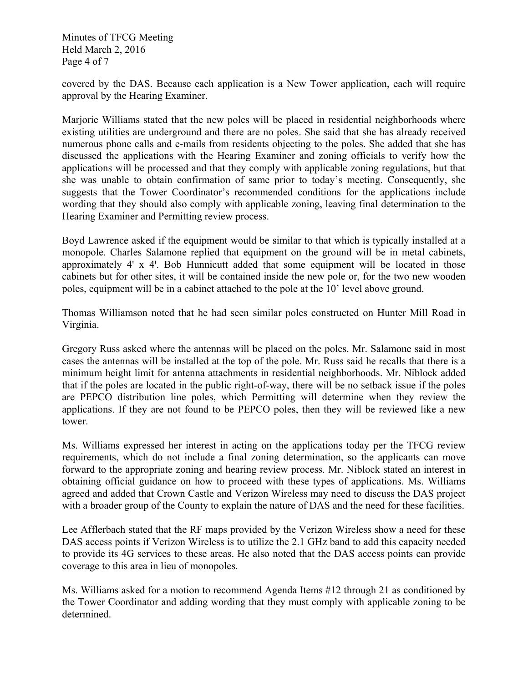Minutes of TFCG Meeting Held March 2, 2016 Page 4 of 7

covered by the DAS. Because each application is a New Tower application, each will require approval by the Hearing Examiner.

Marjorie Williams stated that the new poles will be placed in residential neighborhoods where existing utilities are underground and there are no poles. She said that she has already received numerous phone calls and e-mails from residents objecting to the poles. She added that she has discussed the applications with the Hearing Examiner and zoning officials to verify how the applications will be processed and that they comply with applicable zoning regulations, but that she was unable to obtain confirmation of same prior to today's meeting. Consequently, she suggests that the Tower Coordinator's recommended conditions for the applications include wording that they should also comply with applicable zoning, leaving final determination to the Hearing Examiner and Permitting review process.

Boyd Lawrence asked if the equipment would be similar to that which is typically installed at a monopole. Charles Salamone replied that equipment on the ground will be in metal cabinets, approximately 4' x 4'. Bob Hunnicutt added that some equipment will be located in those cabinets but for other sites, it will be contained inside the new pole or, for the two new wooden poles, equipment will be in a cabinet attached to the pole at the 10' level above ground.

Thomas Williamson noted that he had seen similar poles constructed on Hunter Mill Road in Virginia.

Gregory Russ asked where the antennas will be placed on the poles. Mr. Salamone said in most cases the antennas will be installed at the top of the pole. Mr. Russ said he recalls that there is a minimum height limit for antenna attachments in residential neighborhoods. Mr. Niblock added that if the poles are located in the public right-of-way, there will be no setback issue if the poles are PEPCO distribution line poles, which Permitting will determine when they review the applications. If they are not found to be PEPCO poles, then they will be reviewed like a new tower.

Ms. Williams expressed her interest in acting on the applications today per the TFCG review requirements, which do not include a final zoning determination, so the applicants can move forward to the appropriate zoning and hearing review process. Mr. Niblock stated an interest in obtaining official guidance on how to proceed with these types of applications. Ms. Williams agreed and added that Crown Castle and Verizon Wireless may need to discuss the DAS project with a broader group of the County to explain the nature of DAS and the need for these facilities.

Lee Afflerbach stated that the RF maps provided by the Verizon Wireless show a need for these DAS access points if Verizon Wireless is to utilize the 2.1 GHz band to add this capacity needed to provide its 4G services to these areas. He also noted that the DAS access points can provide coverage to this area in lieu of monopoles.

Ms. Williams asked for a motion to recommend Agenda Items #12 through 21 as conditioned by the Tower Coordinator and adding wording that they must comply with applicable zoning to be determined.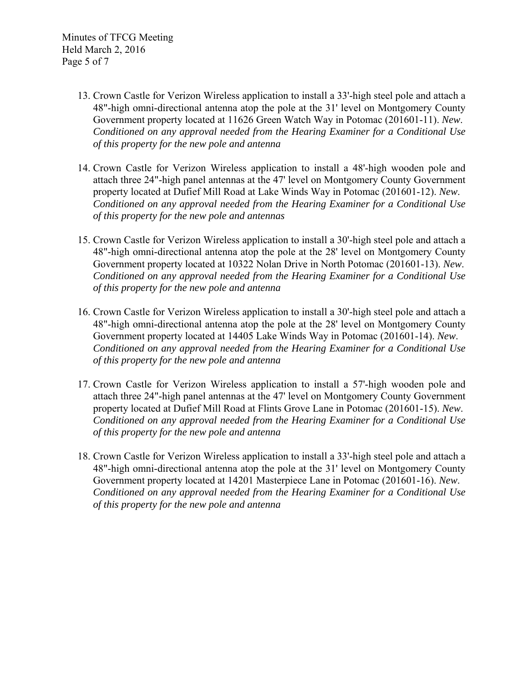Minutes of TFCG Meeting Held March 2, 2016 Page 5 of 7

- 13. Crown Castle for Verizon Wireless application to install a 33'-high steel pole and attach a 48"-high omni-directional antenna atop the pole at the 31' level on Montgomery County Government property located at 11626 Green Watch Way in Potomac (201601-11). *New*. *Conditioned on any approval needed from the Hearing Examiner for a Conditional Use of this property for the new pole and antenna*
- 14. Crown Castle for Verizon Wireless application to install a 48'-high wooden pole and attach three 24"-high panel antennas at the 47' level on Montgomery County Government property located at Dufief Mill Road at Lake Winds Way in Potomac (201601-12). *New*. *Conditioned on any approval needed from the Hearing Examiner for a Conditional Use of this property for the new pole and antennas*
- 15. Crown Castle for Verizon Wireless application to install a 30'-high steel pole and attach a 48"-high omni-directional antenna atop the pole at the 28' level on Montgomery County Government property located at 10322 Nolan Drive in North Potomac (201601-13). *New*. *Conditioned on any approval needed from the Hearing Examiner for a Conditional Use of this property for the new pole and antenna*
- 16. Crown Castle for Verizon Wireless application to install a 30'-high steel pole and attach a 48"-high omni-directional antenna atop the pole at the 28' level on Montgomery County Government property located at 14405 Lake Winds Way in Potomac (201601-14). *New*. *Conditioned on any approval needed from the Hearing Examiner for a Conditional Use of this property for the new pole and antenna*
- 17. Crown Castle for Verizon Wireless application to install a 57'-high wooden pole and attach three 24"-high panel antennas at the 47' level on Montgomery County Government property located at Dufief Mill Road at Flints Grove Lane in Potomac (201601-15). *New*. *Conditioned on any approval needed from the Hearing Examiner for a Conditional Use of this property for the new pole and antenna*
- 18. Crown Castle for Verizon Wireless application to install a 33'-high steel pole and attach a 48"-high omni-directional antenna atop the pole at the 31' level on Montgomery County Government property located at 14201 Masterpiece Lane in Potomac (201601-16). *New*. *Conditioned on any approval needed from the Hearing Examiner for a Conditional Use of this property for the new pole and antenna*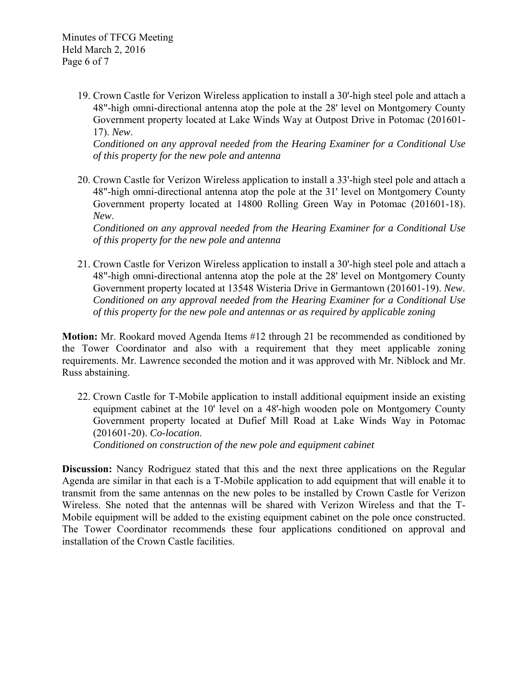19. Crown Castle for Verizon Wireless application to install a 30'-high steel pole and attach a 48"-high omni-directional antenna atop the pole at the 28' level on Montgomery County Government property located at Lake Winds Way at Outpost Drive in Potomac (201601- 17). *New*.

*Conditioned on any approval needed from the Hearing Examiner for a Conditional Use of this property for the new pole and antenna* 

20. Crown Castle for Verizon Wireless application to install a 33'-high steel pole and attach a 48"-high omni-directional antenna atop the pole at the 31' level on Montgomery County Government property located at 14800 Rolling Green Way in Potomac (201601-18). *New*.

*Conditioned on any approval needed from the Hearing Examiner for a Conditional Use of this property for the new pole and antenna* 

21. Crown Castle for Verizon Wireless application to install a 30'-high steel pole and attach a 48"-high omni-directional antenna atop the pole at the 28' level on Montgomery County Government property located at 13548 Wisteria Drive in Germantown (201601-19). *New*. *Conditioned on any approval needed from the Hearing Examiner for a Conditional Use of this property for the new pole and antennas or as required by applicable zoning* 

**Motion:** Mr. Rookard moved Agenda Items #12 through 21 be recommended as conditioned by the Tower Coordinator and also with a requirement that they meet applicable zoning requirements. Mr. Lawrence seconded the motion and it was approved with Mr. Niblock and Mr. Russ abstaining.

22. Crown Castle for T-Mobile application to install additional equipment inside an existing equipment cabinet at the 10' level on a 48'-high wooden pole on Montgomery County Government property located at Dufief Mill Road at Lake Winds Way in Potomac (201601-20). *Co-location*.

*Conditioned on construction of the new pole and equipment cabinet* 

**Discussion:** Nancy Rodriguez stated that this and the next three applications on the Regular Agenda are similar in that each is a T-Mobile application to add equipment that will enable it to transmit from the same antennas on the new poles to be installed by Crown Castle for Verizon Wireless. She noted that the antennas will be shared with Verizon Wireless and that the T-Mobile equipment will be added to the existing equipment cabinet on the pole once constructed. The Tower Coordinator recommends these four applications conditioned on approval and installation of the Crown Castle facilities.